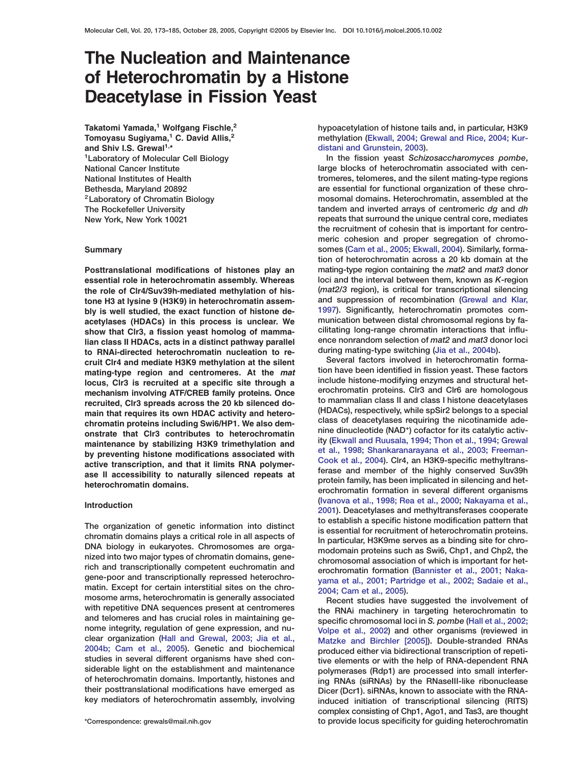# **The Nucleation and Maintenance of Heterochromatin by a Histone Deacetylase in Fission Yeast**

**Takatomi Yamada,<sup>1</sup> Wolfgang Fischle,<sup>2</sup> Tomoyasu Sugiyama,<sup>1</sup> C. David Allis,<sup>2</sup> and Shiv I.S. Grewal1,\* 1Laboratory of Molecular Cell Biology National Cancer Institute National Institutes of Health Bethesda, Maryland 20892 2Laboratory of Chromatin Biology The Rockefeller University New York, New York 10021**

#### **Summary**

**Posttranslational modifications of histones play an essential role in heterochromatin assembly. Whereas the role of Clr4/Suv39h-mediated methylation of histone H3 at lysine 9 (H3K9) in heterochromatin assembly is well studied, the exact function of histone deacetylases (HDACs) in this process is unclear. We show that Clr3, a fission yeast homolog of mammalian class II HDACs, acts in a distinct pathway parallel to RNAi-directed heterochromatin nucleation to recruit Clr4 and mediate H3K9 methylation at the silent mating-type region and centromeres. At the** *mat* **locus, Clr3 is recruited at a specific site through a mechanism involving ATF/CREB family proteins. Once recruited, Clr3 spreads across the 20 kb silenced domain that requires its own HDAC activity and heterochromatin proteins including Swi6/HP1. We also demonstrate that Clr3 contributes to heterochromatin maintenance by stabilizing H3K9 trimethylation and by preventing histone modifications associated with active transcription, and that it limits RNA polymerase II accessibility to naturally silenced repeats at heterochromatin domains.**

#### **Introduction**

**The organization of genetic information into distinct chromatin domains plays a critical role in all aspects of DNA biology in eukaryotes. Chromosomes are organized into two major types of chromatin domains, generich and transcriptionally competent euchromatin and gene-poor and transcriptionally repressed heterochromatin. Except for certain interstitial sites on the chromosome arms, heterochromatin is generally associated with repetitive DNA sequences present at centromeres and telomeres and has crucial roles in maintaining genome integrity, regulation of gene expression, and nuclear organization [\(Hall and Grewal, 2003; Jia et al.,](#page-11-0) [2004b; Cam et al., 2005\)](#page-11-0). Genetic and biochemical studies in several different organisms have shed considerable light on the establishment and maintenance of heterochromatin domains. Importantly, histones and their posttranslational modifications have emerged as key mediators of heterochromatin assembly, involving**

**hypoacetylation of histone tails and, in particular, H3K9 methylation [\(Ekwall, 2004; Grewal and Rice, 2004; Kur](#page-11-0)[distani and Grunstein, 2003\)](#page-11-0).**

**In the fission yeast** *Schizosaccharomyces pombe***, large blocks of heterochromatin associated with centromeres, telomeres, and the silent mating-type regions are essential for functional organization of these chromosomal domains. Heterochromatin, assembled at the tandem and inverted arrays of centromeric** *dg* **and** *dh* **repeats that surround the unique central core, mediates the recruitment of cohesin that is important for centromeric cohesion and proper segregation of chromosomes [\(Cam et al., 2005; Ekwall, 2004\)](#page-11-0). Similarly, formation of heterochromatin across a 20 kb domain at the mating-type region containing the** *mat2* **and** *mat3* **donor loci and the interval between them, known as** *K***-region (***mat2/3* **region), is critical for transcriptional silencing and suppression of recombination [\(Grewal and Klar,](#page-11-0) [1997](#page-11-0)). Significantly, heterochromatin promotes communication between distal chromosomal regions by facilitating long-range chromatin interactions that influence nonrandom selection of** *mat2* **and** *mat3* **donor loci during mating-type switching [\(Jia et al., 2004b](#page-11-0)).**

**Several factors involved in heterochromatin formation have been identified in fission yeast. These factors include histone-modifying enzymes and structural heterochromatin proteins. Clr3 and Clr6 are homologous to mammalian class II and class I histone deacetylases (HDACs), respectively, while spSir2 belongs to a special class of deacetylases requiring the nicotinamide adenine dinucleotide (NAD+) cofactor for its catalytic activity [\(Ekwall and Ruusala, 1994; Thon et al., 1994; Grewal](#page-11-0) [et al., 1998; Shankaranarayana et al., 2003; Freeman-](#page-11-0)[Cook et al., 2004\)](#page-11-0). Clr4, an H3K9-specific methyltransferase and member of the highly conserved Suv39h protein family, has been implicated in silencing and heterochromatin formation in several different organisms [\(Ivanova et al., 1998; Rea et al., 2000; Nakayama et al.,](#page-11-0) [2001](#page-11-0)). Deacetylases and methyltransferases cooperate to establish a specific histone modification pattern that is essential for recruitment of heterochromatin proteins. In particular, H3K9me serves as a binding site for chromodomain proteins such as Swi6, Chp1, and Chp2, the chromosomal association of which is important for heterochromatin formation [\(Bannister et al., 2001; Naka](#page-11-0)[yama et al., 2001; Partridge et al., 2002; Sadaie et al.,](#page-11-0) [2004; Cam et al., 2005\)](#page-11-0).**

**Recent studies have suggested the involvement of the RNAi machinery in targeting heterochromatin to specific chromosomal loci in** *S. pombe* **[\(Hall et al., 2002;](#page-11-0) [Volpe et al., 2002\)](#page-11-0) and other organisms (reviewed in [Matzke and Birchler \[2005\]\)](#page-11-0). Double-stranded RNAs produced either via bidirectional transcription of repetitive elements or with the help of RNA-dependent RNA polymerases (Rdp1) are processed into small interfering RNAs (siRNAs) by the RNaseIII-like ribonuclease Dicer (Dcr1). siRNAs, known to associate with the RNAinduced initiation of transcriptional silencing (RITS) complex consisting of Chp1, Ago1, and Tas3, are thought to provide locus specificity for guiding heterochromatin**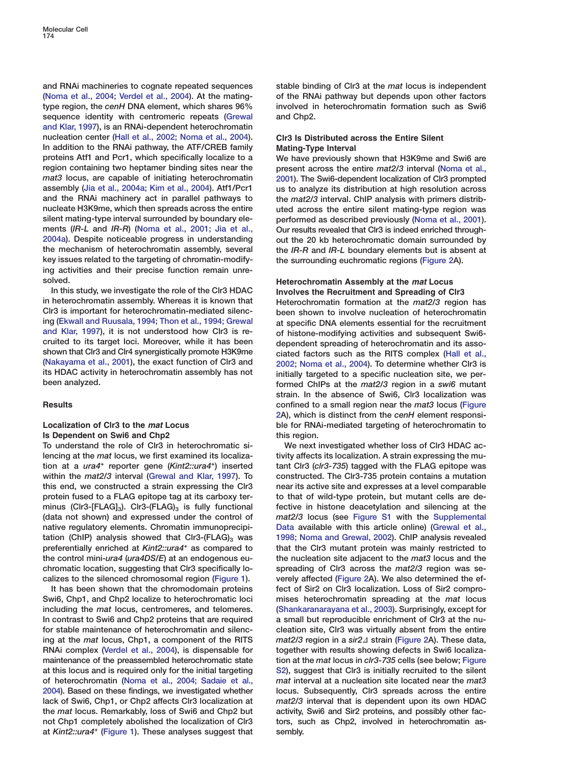**and RNAi machineries to cognate repeated sequences [\(Noma et al., 2004; Verdel et al., 2004\)](#page-11-0). At the matingtype region, the** *cenH* **DNA element, which shares 96% sequence identity with centromeric repeats [\(Grewal](#page-11-0) [and Klar, 1997](#page-11-0)), is an RNAi-dependent heterochromatin nucleation center [\(Hall et al., 2002; Noma et al., 2004\)](#page-11-0). In addition to the RNAi pathway, the ATF/CREB family proteins Atf1 and Pcr1, which specifically localize to a region containing two heptamer binding sites near the** *mat3* **locus, are capable of initiating heterochromatin assembly [\(Jia et al., 2004a; Kim et al., 2004\)](#page-11-0). Atf1/Pcr1 and the RNAi machinery act in parallel pathways to nucleate H3K9me, which then spreads across the entire silent mating-type interval surrounded by boundary elements (***IR-L* **and** *IR-R***) [\(Noma et al., 2001; Jia et al.,](#page-11-0) [2004a\)](#page-11-0). Despite noticeable progress in understanding the mechanism of heterochromatin assembly, several key issues related to the targeting of chromatin-modifying activities and their precise function remain unresolved.**

**In this study, we investigate the role of the Clr3 HDAC in heterochromatin assembly. Whereas it is known that Clr3 is important for heterochromatin-mediated silencing [\(Ekwall and Ruusala, 1994; Thon et al., 1994; Grewal](#page-11-0) [and Klar, 1997\)](#page-11-0), it is not understood how Clr3 is recruited to its target loci. Moreover, while it has been shown that Clr3 and Clr4 synergistically promote H3K9me [\(Nakayama et al., 2001\)](#page-11-0), the exact function of Clr3 and its HDAC activity in heterochromatin assembly has not been analyzed.**

## **Results**

## **Localization of Clr3 to the** *mat* **Locus Is Dependent on Swi6 and Chp2**

**To understand the role of Clr3 in heterochromatic silencing at the** *mat* **locus, we first examined its localization at a** *ura4<sup>+</sup>* **reporter gene (***Kint2::ura4+***) inserted within the** *mat2/3* **interval [\(Grewal and Klar, 1997\)](#page-11-0). To this end, we constructed a strain expressing the Clr3 protein fused to a FLAG epitope tag at its carboxy ter**minus (Clr3-[FLAG]<sub>3</sub>). Clr3-(FLAG)<sub>3</sub> is fully functional **(data not shown) and expressed under the control of native regulatory elements. Chromatin immunoprecipi**tation (ChIP) analysis showed that Clr3-(FLAG)<sub>3</sub> was **preferentially enriched at** *Kint2::ura4<sup>+</sup>* **as compared to the control mini-***ura4* **(***ura4DS/E***) at an endogenous euchromatic location, suggesting that Clr3 specifically localizes to the silenced chromosomal region [\(Figure 1\)](#page-2-0).**

**It has been shown that the chromodomain proteins Swi6, Chp1, and Chp2 localize to heterochromatic loci including the** *mat* **locus, centromeres, and telomeres. In contrast to Swi6 and Chp2 proteins that are required for stable maintenance of heterochromatin and silencing at the** *mat* **locus, Chp1, a component of the RITS RNAi complex [\(Verdel et al., 2004\)](#page-12-0), is dispensable for maintenance of the preassembled heterochromatic state at this locus and is required only for the initial targeting of heterochromatin [\(Noma et al., 2004; Sadaie et al.,](#page-11-0) [2004\)](#page-11-0). Based on these findings, we investigated whether lack of Swi6, Chp1, or Chp2 affects Clr3 localization at the** *mat* **locus. Remarkably, loss of Swi6 and Chp2 but not Chp1 completely abolished the localization of Clr3 at** *Kint2::ura4<sup>+</sup>* **[\(Figure 1\)](#page-2-0). These analyses suggest that**

**stable binding of Clr3 at the** *mat* **locus is independent of the RNAi pathway but depends upon other factors involved in heterochromatin formation such as Swi6 and Chp2.**

## **Clr3 Is Distributed across the Entire Silent Mating-Type Interval**

**We have previously shown that H3K9me and Swi6 are present across the entire** *mat2/3* **interval [\(Noma et al.,](#page-11-0) [2001\)](#page-11-0). The Swi6-dependent localization of Clr3 prompted us to analyze its distribution at high resolution across the** *mat2/3* **interval. ChIP analysis with primers distributed across the entire silent mating-type region was performed as described previously [\(Noma et al., 2001\)](#page-11-0). Our results revealed that Clr3 is indeed enriched throughout the 20 kb heterochromatic domain surrounded by the** *IR-R* **and** *IR-L* **boundary elements but is absent at the surrounding euchromatic regions [\(Figure 2A](#page-3-0)).**

## **Heterochromatin Assembly at the** *mat* **Locus Involves the Recruitment and Spreading of Clr3**

**Heterochromatin formation at the** *mat2/3* **region has been shown to involve nucleation of heterochromatin at specific DNA elements essential for the recruitment of histone-modifying activities and subsequent Swi6 dependent spreading of heterochromatin and its associated factors such as the RITS complex [\(Hall et al.,](#page-11-0) [2002; Noma et al., 2004\)](#page-11-0). To determine whether Clr3 is initially targeted to a specific nucleation site, we performed ChIPs at the** *mat2/3* **region in a** *swi6* **mutant strain. In the absence of Swi6, Clr3 localization was confined to a small region near the** *mat3* **locus [\(Figure](#page-3-0) [2](#page-3-0)A), which is distinct from the** *cenH* **element responsible for RNAi-mediated targeting of heterochromatin to this region.**

**We next investigated whether loss of Clr3 HDAC activity affects its localization. A strain expressing the mutant Clr3 (***clr3-735***) tagged with the FLAG epitope was constructed. The Clr3-735 protein contains a mutation near its active site and expresses at a level comparable to that of wild-type protein, but mutant cells are defective in histone deacetylation and silencing at the** *mat2/3* **locus (see Figure S1 with the Supplemental Data available with this article online) [\(Grewal et al.,](#page-11-0) [1998; Noma and Grewal, 2002\)](#page-11-0). ChIP analysis revealed that the Clr3 mutant protein was mainly restricted to the nucleation site adjacent to the** *mat3* **locus and the spreading of Clr3 across the** *mat2/3* **region was severely affected [\(Figure 2A](#page-3-0)). We also determined the effect of Sir2 on Clr3 localization. Loss of Sir2 compromises heterochromatin spreading at the** *mat* **locus [\(Shankaranarayana et al., 2003\)](#page-12-0). Surprisingly, except for a small but reproducible enrichment of Clr3 at the nucleation site, Clr3 was virtually absent from the entire** *mat2/3* region in a *sir2∆* strain [\(Figure 2A](#page-3-0)). These data, **together with results showing defects in Swi6 localization at the** *mat* **locus in** *clr3-735* **cells (see below; Figure S2), suggest that Clr3 is initially recruited to the silent** *mat* **interval at a nucleation site located near the** *mat3* **locus. Subsequently, Clr3 spreads across the entire** *mat2/3* **interval that is dependent upon its own HDAC activity, Swi6 and Sir2 proteins, and possibly other factors, such as Chp2, involved in heterochromatin assembly.**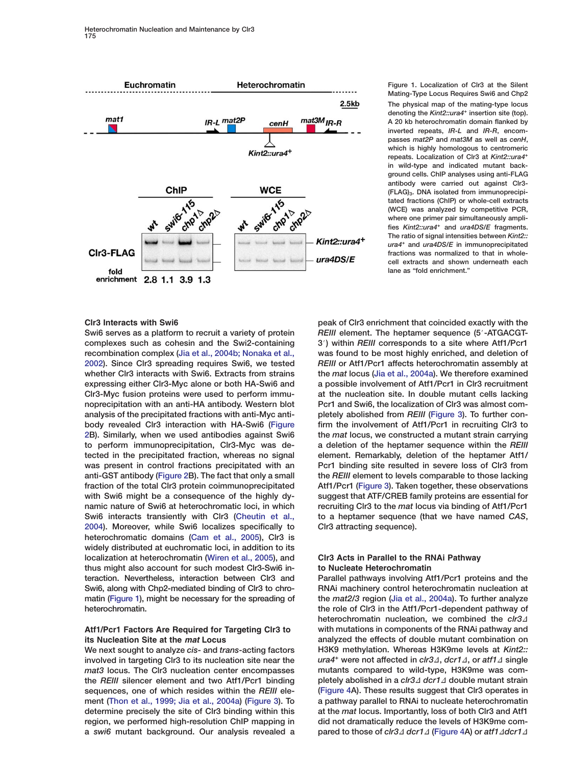<span id="page-2-0"></span>

**Figure 1. Localization of Clr3 at the Silent Mating-Type Locus Requires Swi6 and Chp2 The physical map of the mating-type locus denoting the** *Kint2::ura4***<sup>+</sup> insertion site (top). A 20 kb heterochromatin domain flanked by inverted repeats,** *IR-L* **and** *IR-R***, encompasses** *mat2P* **and** *mat3M* **as well as** *cenH***, which is highly homologous to centromeric repeats. Localization of Clr3 at** *Kint2::ura4***<sup>+</sup> in wild-type and indicated mutant background cells. ChIP analyses using anti-FLAG antibody were carried out against Clr3- (FLAG)3. DNA isolated from immunoprecipitated fractions (ChIP) or whole-cell extracts (WCE) was analyzed by competitive PCR, where one primer pair simultaneously amplifies** *Kint2::ura4***<sup>+</sup> and** *ura4DS/E* **fragments. The ratio of signal intensities between** *Kint2:: ura4***<sup>+</sup> and** *ura4DS/E* **in immunoprecipitated fractions was normalized to that in wholecell extracts and shown underneath each lane as "fold enrichment."**

#### **Clr3 Interacts with Swi6**

**Swi6 serves as a platform to recruit a variety of protein complexes such as cohesin and the Swi2-containing recombination complex [\(Jia et al., 2004b; Nonaka et al.,](#page-11-0) [2002](#page-11-0)). Since Clr3 spreading requires Swi6, we tested whether Clr3 interacts with Swi6. Extracts from strains expressing either Clr3-Myc alone or both HA-Swi6 and Clr3-Myc fusion proteins were used to perform immunoprecipitation with an anti-HA antibody. Western blot analysis of the precipitated fractions with anti-Myc antibody revealed Clr3 interaction with HA-Swi6 [\(Figure](#page-3-0) [2B](#page-3-0)). Similarly, when we used antibodies against Swi6 to perform immunoprecipitation, Clr3-Myc was detected in the precipitated fraction, whereas no signal was present in control fractions precipitated with an anti-GST antibody [\(Figure 2B](#page-3-0)). The fact that only a small fraction of the total Clr3 protein coimmunoprecipitated with Swi6 might be a consequence of the highly dynamic nature of Swi6 at heterochromatic loci, in which Swi6 interacts transiently with Clr3 [\(Cheutin et al.,](#page-11-0) [2004](#page-11-0)). Moreover, while Swi6 localizes specifically to heterochromatic domains [\(Cam et al., 2005\)](#page-11-0), Clr3 is widely distributed at euchromatic loci, in addition to its localization at heterochromatin [\(Wiren et al., 2005\)](#page-12-0), and thus might also account for such modest Clr3-Swi6 interaction. Nevertheless, interaction between Clr3 and Swi6, along with Chp2-mediated binding of Clr3 to chromatin (Figure 1), might be necessary for the spreading of heterochromatin.**

## **Atf1/Pcr1 Factors Are Required for Targeting Clr3 to its Nucleation Site at the** *mat* **Locus**

**We next sought to analyze** *cis***- and** *trans***-acting factors involved in targeting Clr3 to its nucleation site near the** *mat3* **locus. The Clr3 nucleation center encompasses the** *REIII* **silencer element and two Atf1/Pcr1 binding sequences, one of which resides within the** *REIII* **element [\(Thon et al., 1999; Jia et al., 2004a\)](#page-12-0) [\(Figure 3\)](#page-4-0). To determine precisely the site of Clr3 binding within this region, we performed high-resolution ChIP mapping in a** *swi6* **mutant background. Our analysis revealed a**

**peak of Clr3 enrichment that coincided exactly with the REIII** element. The heptamer sequence (5'-ATGACGT-**3**#**) within** *REIII* **corresponds to a site where Atf1/Pcr1 was found to be most highly enriched, and deletion of** *REIII* **or Atf1/Pcr1 affects heterochromatin assembly at the** *mat* **locus [\(Jia et al., 2004a\)](#page-11-0). We therefore examined a possible involvement of Atf1/Pcr1 in Clr3 recruitment at the nucleation site. In double mutant cells lacking Pcr1 and Swi6, the localization of Clr3 was almost completely abolished from** *REIII* **[\(Figure 3\)](#page-4-0). To further confirm the involvement of Atf1/Pcr1 in recruiting Clr3 to the** *mat* **locus, we constructed a mutant strain carrying a deletion of the heptamer sequence within the** *REIII* **element. Remarkably, deletion of the heptamer Atf1/ Pcr1 binding site resulted in severe loss of Clr3 from the** *REIII* **element to levels comparable to those lacking Atf1/Pcr1 [\(Figure 3\)](#page-4-0). Taken together, these observations suggest that ATF/CREB family proteins are essential for recruiting Clr3 to the** *mat* **locus via binding of Atf1/Pcr1 to a heptamer sequence (that we have named** *CAS***,** *C***lr3** *a***ttracting** *s***equence).**

## **Clr3 Acts in Parallel to the RNAi Pathway to Nucleate Heterochromatin**

**Parallel pathways involving Atf1/Pcr1 proteins and the RNAi machinery control heterochromatin nucleation at the** *mat2/3* **region [\(Jia et al., 2004a\)](#page-11-0). To further analyze the role of Clr3 in the Atf1/Pcr1-dependent pathway of** heterochromatin nucleation, we combined the *clr3*<sup> $\Delta$ </sup> **with mutations in components of the RNAi pathway and analyzed the effects of double mutant combination on H3K9 methylation. Whereas H3K9me levels at** *Kint2:: ura4<sup>+</sup>* were not affected in *clr3∆*, *dcr1∆*, or *atf1∆* single **mutants compared to wild-type, H3K9me was completely abolished in a** *clr3∆**dcr1∆* **double mutant strain [\(Figure 4](#page-5-0)A). These results suggest that Clr3 operates in a pathway parallel to RNAi to nucleate heterochromatin at the** *mat* **locus. Importantly, loss of both Clr3 and Atf1 did not dramatically reduce the levels of H3K9me compared to those of** *clr3∆**dcr1∆* **[\(Figure 4A](#page-5-0)) or** *atf1∆dcr1∆*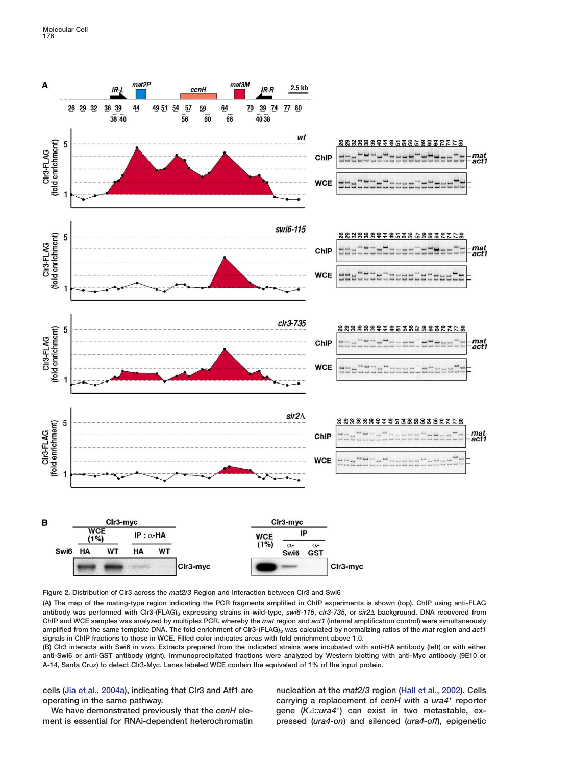<span id="page-3-0"></span>**Molecular Cell 176**



**Figure 2. Distribution of Clr3 across the** *mat2/3* **Region and Interaction between Clr3 and Swi6**

**(A) The map of the mating-type region indicating the PCR fragments amplified in ChIP experiments is shown (top). ChIP using anti-FLAG antibody was performed with Clr3-(FLAG)3 expressing strains in wild-type,** *swi6-115***,** *clr3-735***, or** *sir2* **background. DNA recovered from ChIP and WCE samples was analyzed by multiplex PCR, whereby the** *mat* **region and** *act1* **(internal amplification control) were simultaneously** amplified from the same template DNA. The fold enrichment of Clr3-(FLAG)<sub>3</sub> was calculated by normalizing ratios of the *mat* region and *act1* **signals in ChIP fractions to those in WCE. Filled color indicates areas with fold enrichment above 1.0.**

**(B) Clr3 interacts with Swi6 in vivo. Extracts prepared from the indicated strains were incubated with anti-HA antibody (left) or with either anti-Swi6 or anti-GST antibody (right). Immunoprecipitated fractions were analyzed by Western blotting with anti-Myc antibody (9E10 or A-14, Santa Cruz) to detect Clr3-Myc. Lanes labeled WCE contain the equivalent of 1% of the input protein.**

**cells [\(Jia et al., 2004a](#page-11-0)), indicating that Clr3 and Atf1 are operating in the same pathway.**

**We have demonstrated previously that the** *cenH* **element is essential for RNAi-dependent heterochromatin** **nucleation at the** *mat2/3* **region [\(Hall et al., 2002\)](#page-11-0). Cells carrying a replacement of** *cenH* **with a** *ura4+* **reporter** gene (K<sub>1</sub>::ura4<sup>+</sup>) can exist in two metastable, ex**pressed (***ura4-on***) and silenced (***ura4-off***), epigenetic**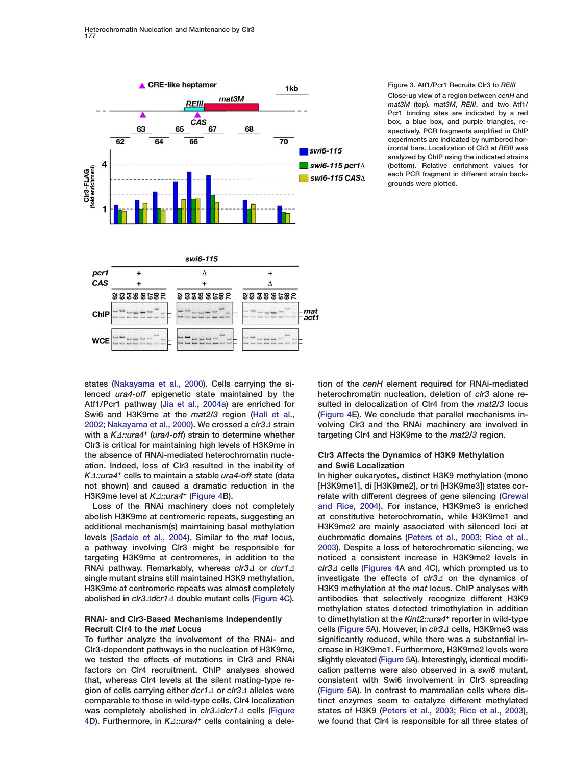<span id="page-4-0"></span>

#### **Figure 3. Atf1/Pcr1 Recruits Clr3 to** *REIII*

**Close-up view of a region between** *cenH* **and** *mat3M* **(top).** *mat3M***,** *REIII***, and two Atf1/ Pcr1 binding sites are indicated by a red box, a blue box, and purple triangles, respectively. PCR fragments amplified in ChIP experiments are indicated by numbered horizontal bars. Localization of Clr3 at** *REIII* **was analyzed by ChIP using the indicated strains (bottom). Relative enrichment values for each PCR fragment in different strain backgrounds were plotted.**

**states [\(Nakayama et al., 2000\)](#page-11-0). Cells carrying the silenced** *ura4-off* **epigenetic state maintained by the Atf1/Pcr1 pathway [\(Jia et al., 2004a\)](#page-11-0) are enriched for Swi6 and H3K9me at the** *mat2/3* **region [\(Hall et al.,](#page-11-0) [2002; Nakayama et al., 2000\)](#page-11-0). We crossed a** *clr3∆* **strain** with a  $K\Delta$ ::ura4<sup>+</sup> (ura4-off) strain to determine whether **Clr3 is critical for maintaining high levels of H3K9me in the absence of RNAi-mediated heterochromatin nucleation. Indeed, loss of Clr3 resulted in the inability of** *K*D*::ura4<sup>+</sup>* **cells to maintain a stable** *ura4-off* **state (data not shown) and caused a dramatic reduction in the H3K9me level at** *K***<sub>2</sub>::ura4<sup>+</sup> [\(Figure 4B](#page-5-0)).** 

**Loss of the RNAi machinery does not completely abolish H3K9me at centromeric repeats, suggesting an additional mechanism(s) maintaining basal methylation levels [\(Sadaie et al., 2004\)](#page-12-0). Similar to the** *mat* **locus, a pathway involving Clr3 might be responsible for targeting H3K9me at centromeres, in addition to the RNAi pathway. Remarkably, whereas** *clr3* **or** *dcr1***<sup>D</sup> single mutant strains still maintained H3K9 methylation, H3K9me at centromeric repeats was almost completely abolished in** *clr3∆dcr1∆* **double mutant cells [\(Figure 4C](#page-5-0)).** 

## **RNAi- and Clr3-Based Mechanisms Independently Recruit Clr4 to the** *mat* **Locus**

**To further analyze the involvement of the RNAi- and Clr3-dependent pathways in the nucleation of H3K9me, we tested the effects of mutations in Clr3 and RNAi factors on Clr4 recruitment. ChIP analyses showed that, whereas Clr4 levels at the silent mating-type re**gion of cells carrying either *dcr1∆* or *clr3∆* alleles were **comparable to those in wild-type cells, Clr4 localization was completely abolished in** *clr3∆dcr1∆* **cells [\(Figure](#page-5-0)** [4D](#page-5-0)). Furthermore, in  $K\Delta$ ::ura4<sup>+</sup> cells containing a dele**tion of the** *cenH* **element required for RNAi-mediated heterochromatin nucleation, deletion of** *clr3* **alone resulted in delocalization of Clr4 from the** *mat2/3* **locus [\(Figure 4E](#page-5-0)). We conclude that parallel mechanisms involving Clr3 and the RNAi machinery are involved in targeting Clr4 and H3K9me to the** *mat2/3* **region.**

## **Clr3 Affects the Dynamics of H3K9 Methylation and Swi6 Localization**

**In higher eukaryotes, distinct H3K9 methylation (mono [H3K9me1], di [H3K9me2], or tri [H3K9me3]) states correlate with different degrees of gene silencing [\(Grewal](#page-11-0) [and Rice, 2004\)](#page-11-0). For instance, H3K9me3 is enriched at constitutive heterochromatin, while H3K9me1 and H3K9me2 are mainly associated with silenced loci at euchromatic domains [\(Peters et al., 2003; Rice et al.,](#page-12-0) [2003](#page-12-0)). Despite a loss of heterochromatic silencing, we noticed a consistent increase in H3K9me2 levels in** *clr3*D **cells [\(Figures 4A](#page-5-0) and 4C), which prompted us to** investigate the effects of *clr3∆* on the dynamics of **H3K9 methylation at the** *mat* **locus. ChIP analyses with antibodies that selectively recognize different H3K9 methylation states detected trimethylation in addition to dimethylation at the** *Kint2::ura4<sup>+</sup>* **reporter in wild-type cells [\(Figure 5A](#page-6-0)). However, in** *clr3*D **cells, H3K9me3 was significantly reduced, while there was a substantial increase in H3K9me1. Furthermore, H3K9me2 levels were slightly elevated [\(Figure 5A](#page-6-0)). Interestingly, identical modification patterns were also observed in a** *swi6* **mutant, consistent with Swi6 involvement in Clr3 spreading [\(Figure 5A](#page-6-0)). In contrast to mammalian cells where distinct enzymes seem to catalyze different methylated states of H3K9 [\(Peters et al., 2003; Rice et al., 2003\)](#page-12-0), we found that Clr4 is responsible for all three states of**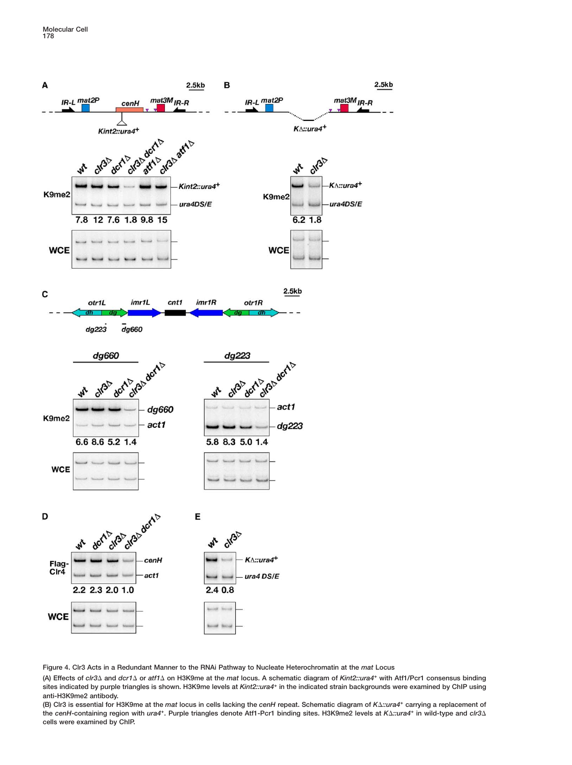<span id="page-5-0"></span>

**Figure 4. Clr3 Acts in a Redundant Manner to the RNAi Pathway to Nucleate Heterochromatin at the** *mat* **Locus**

**(A) Effects of** *clr3* **and** *dcr1* **or** *atf1* **on H3K9me at the** *mat* **locus. A schematic diagram of** *Kint2::ura4***<sup>+</sup> with Atf1/Pcr1 consensus binding sites indicated by purple triangles is shown. H3K9me levels at** *Kint2::ura4***<sup>+</sup> in the indicated strain backgrounds were examined by ChIP using anti-H3K9me2 antibody.**

**(B) Clr3 is essential for H3K9me at the** *mat* **locus in cells lacking the** *cenH* **repeat. Schematic diagram of** *K::ura4***<sup>+</sup> carrying a replacement of the** *cenH***-containing region with** *ura4***+. Purple triangles denote Atf1-Pcr1 binding sites. H3K9me2 levels at** *K::ura4***<sup>+</sup> in wild-type and** *clr3* **cells were examined by ChIP.**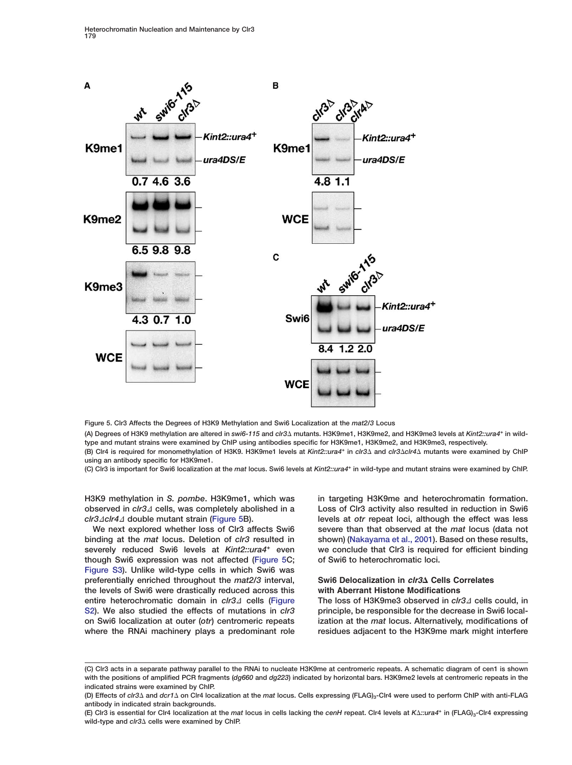<span id="page-6-0"></span>

**Figure 5. Clr3 Affects the Degrees of H3K9 Methylation and Swi6 Localization at the** *mat2/3* **Locus**

**(A) Degrees of H3K9 methylation are altered in** *swi6-115* **and** *clr3* **mutants. H3K9me1, H3K9me2, and H3K9me3 levels at** *Kint2::ura4***<sup>+</sup> in wildtype and mutant strains were examined by ChIP using antibodies specific for H3K9me1, H3K9me2, and H3K9me3, respectively. (B) Clr4 is required for monomethylation of H3K9. H3K9me1 levels at** *Kint2::ura4***<sup>+</sup> in** *clr3* **and** *clr3clr4* **mutants were examined by ChIP**

**(C) Clr3 is important for Swi6 localization at the** *mat* **locus. Swi6 levels at** *Kint2::ura4***<sup>+</sup> in wild-type and mutant strains were examined by ChIP.**

**H3K9 methylation in** *S. pombe***. H3K9me1, which was observed in** *clr3∆* **cells, was completely abolished in a**  $clr3∆clr4∆$  double mutant strain (Figure 5B).

**using an antibody specific for H3K9me1.**

**We next explored whether loss of Clr3 affects Swi6 binding at the** *mat* **locus. Deletion of** *clr3* **resulted in severely reduced Swi6 levels at** *Kint2::ura4+* **even though Swi6 expression was not affected (Figure 5C; Figure S3). Unlike wild-type cells in which Swi6 was preferentially enriched throughout the** *mat2/3* **interval, the levels of Swi6 were drastically reduced across this entire heterochromatic domain in** *clr3* cells (Figure **S2). We also studied the effects of mutations in** *clr3* **on Swi6 localization at outer (***otr***) centromeric repeats where the RNAi machinery plays a predominant role** **in targeting H3K9me and heterochromatin formation. Loss of Clr3 activity also resulted in reduction in Swi6 levels at** *otr* **repeat loci, although the effect was less severe than that observed at the** *mat* **locus (data not shown) [\(Nakayama et al., 2001\)](#page-11-0). Based on these results, we conclude that Clr3 is required for efficient binding of Swi6 to heterochromatic loci.**

## **Swi6 Delocalization in** *clr3***∆ Cells Correlates with Aberrant Histone Modifications**

**The loss of H3K9me3 observed in** *clr3∆* **cells could, in principle, be responsible for the decrease in Swi6 localization at the** *mat* **locus. Alternatively, modifications of residues adjacent to the H3K9me mark might interfere**

**<sup>(</sup>C) Clr3 acts in a separate pathway parallel to the RNAi to nucleate H3K9me at centromeric repeats. A schematic diagram of cen1 is shown with the positions of amplified PCR fragments (***dg660* **and** *dg223***) indicated by horizontal bars. H3K9me2 levels at centromeric repeats in the indicated strains were examined by ChIP.**

**<sup>(</sup>D) Effects of** *clr3* **and** *dcr1* **on Clr4 localization at the** *mat* **locus. Cells expressing (FLAG)3-Clr4 were used to perform ChIP with anti-FLAG antibody in indicated strain backgrounds.**

**<sup>(</sup>E) Clr3 is essential for Clr4 localization at the** *mat* **locus in cells lacking the** *cenH* **repeat. Clr4 levels at** *K::ura4***<sup>+</sup> in (FLAG)3-Clr4 expressing wild-type and** *clr3* **cells were examined by ChIP.**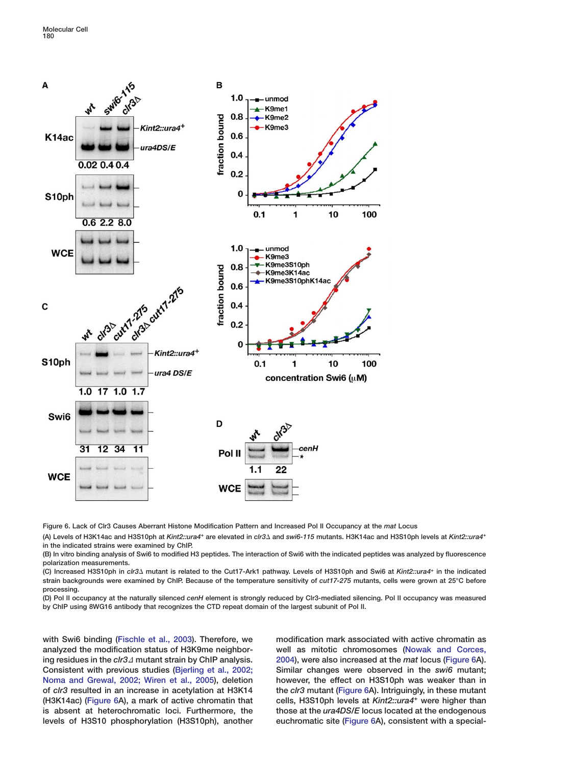<span id="page-7-0"></span>

**Figure 6. Lack of Clr3 Causes Aberrant Histone Modification Pattern and Increased Pol II Occupancy at the** *mat* **Locus**

**(A) Levels of H3K14ac and H3S10ph at** *Kint2::ura4***<sup>+</sup> are elevated in** *clr3* **and** *swi6-115* **mutants. H3K14ac and H3S10ph levels at** *Kint2::ura4***<sup>+</sup> in the indicated strains were examined by ChIP.**

**(B) In vitro binding analysis of Swi6 to modified H3 peptides. The interaction of Swi6 with the indicated peptides was analyzed by fluorescence polarization measurements.**

**(C) Increased H3S10ph in** *clr3* **mutant is related to the Cut17-Ark1 pathway. Levels of H3S10ph and Swi6 at** *Kint2::ura4***<sup>+</sup> in the indicated strain backgrounds were examined by ChIP. Because of the temperature sensitivity of** *cut17-275* **mutants, cells were grown at 25°C before processing.**

**(D) Pol II occupancy at the naturally silenced** *cenH* **element is strongly reduced by Clr3-mediated silencing. Pol II occupancy was measured by ChIP using 8WG16 antibody that recognizes the CTD repeat domain of the largest subunit of Pol II.**

**with Swi6 binding [\(Fischle et al., 2003\)](#page-11-0). Therefore, we analyzed the modification status of H3K9me neighboring residues in the** *clr***3∆ mutant strain by ChIP analysis. Consistent with previous studies [\(Bjerling et al., 2002;](#page-11-0) [Noma and Grewal, 2002; Wiren et al., 2005\)](#page-11-0), deletion of** *clr3* **resulted in an increase in acetylation at H3K14 (H3K14ac) (Figure 6A), a mark of active chromatin that is absent at heterochromatic loci. Furthermore, the levels of H3S10 phosphorylation (H3S10ph), another** **modification mark associated with active chromatin as well as mitotic chromosomes [\(Nowak and Corces,](#page-12-0) [2004](#page-12-0)), were also increased at the** *mat* **locus (Figure 6A). Similar changes were observed in the** *swi6* **mutant; however, the effect on H3S10ph was weaker than in the** *clr3* **mutant (Figure 6A). Intriguingly, in these mutant cells, H3S10ph levels at** *Kint2::ura4+* **were higher than those at the** *ura4DS/E* **locus located at the endogenous euchromatic site (Figure 6A), consistent with a special-**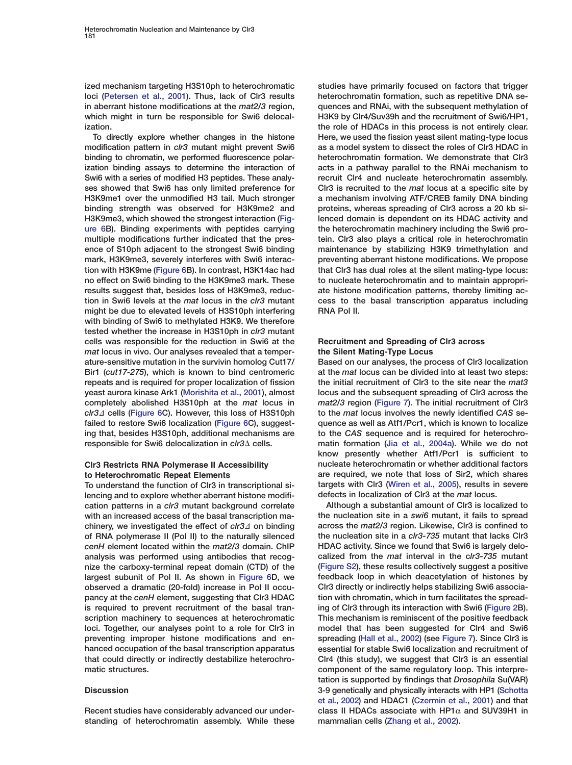**ized mechanism targeting H3S10ph to heterochromatic loci [\(Petersen et al., 2001\)](#page-12-0). Thus, lack of Clr3 results in aberrant histone modifications at the** *mat2/3* **region, which might in turn be responsible for Swi6 delocalization.**

**To directly explore whether changes in the histone modification pattern in** *clr3* **mutant might prevent Swi6 binding to chromatin, we performed fluorescence polarization binding assays to determine the interaction of Swi6 with a series of modified H3 peptides. These analyses showed that Swi6 has only limited preference for H3K9me1 over the unmodified H3 tail. Much stronger binding strength was observed for H3K9me2 and H3K9me3, which showed the strongest interaction [\(Fig](#page-7-0)[ure 6](#page-7-0)B). Binding experiments with peptides carrying multiple modifications further indicated that the presence of S10ph adjacent to the strongest Swi6 binding mark, H3K9me3, severely interferes with Swi6 interaction with H3K9me [\(Figure 6B](#page-7-0)). In contrast, H3K14ac had no effect on Swi6 binding to the H3K9me3 mark. These results suggest that, besides loss of H3K9me3, reduction in Swi6 levels at the** *mat* **locus in the** *clr3* **mutant might be due to elevated levels of H3S10ph interfering with binding of Swi6 to methylated H3K9. We therefore tested whether the increase in H3S10ph in** *clr3* **mutant cells was responsible for the reduction in Swi6 at the** *mat* **locus in vivo. Our analyses revealed that a temperature-sensitive mutation in the survivin homolog Cut17/ Bir1 (***cut17-275***), which is known to bind centromeric repeats and is required for proper localization of fission yeast aurora kinase Ark1 [\(Morishita et al., 2001\)](#page-11-0), almost completely abolished H3S10ph at the** *mat* **locus in** *clr3*D **cells [\(Figure 6C](#page-7-0)). However, this loss of H3S10ph failed to restore Swi6 localization [\(Figure 6C](#page-7-0)), suggesting that, besides H3S10ph, additional mechanisms are responsible for Swi6 delocalization in** *clr3∆* **cells.** 

## **Clr3 Restricts RNA Polymerase II Accessibility to Heterochromatic Repeat Elements**

**To understand the function of Clr3 in transcriptional silencing and to explore whether aberrant histone modification patterns in a** *clr3* **mutant background correlate with an increased access of the basal transcription ma**chinery, we investigated the effect of  $\frac{c}{3}$  on binding **of RNA polymerase II (Pol II) to the naturally silenced** *cenH* **element located within the** *mat2/3* **domain. ChIP analysis was performed using antibodies that recognize the carboxy-terminal repeat domain (CTD) of the largest subunit of Pol II. As shown in [Figure 6D](#page-7-0), we observed a dramatic (20-fold) increase in Pol II occupancy at the** *cenH* **element, suggesting that Clr3 HDAC is required to prevent recruitment of the basal transcription machinery to sequences at heterochromatic loci. Together, our analyses point to a role for Clr3 in preventing improper histone modifications and enhanced occupation of the basal transcription apparatus that could directly or indirectly destabilize heterochromatic structures.**

## **Discussion**

**Recent studies have considerably advanced our understanding of heterochromatin assembly. While these**

**studies have primarily focused on factors that trigger heterochromatin formation, such as repetitive DNA sequences and RNAi, with the subsequent methylation of H3K9 by Clr4/Suv39h and the recruitment of Swi6/HP1, the role of HDACs in this process is not entirely clear. Here, we used the fission yeast silent mating-type locus as a model system to dissect the roles of Clr3 HDAC in heterochromatin formation. We demonstrate that Clr3 acts in a pathway parallel to the RNAi mechanism to recruit Clr4 and nucleate heterochromatin assembly. Clr3 is recruited to the** *mat* **locus at a specific site by a mechanism involving ATF/CREB family DNA binding proteins, whereas spreading of Clr3 across a 20 kb silenced domain is dependent on its HDAC activity and the heterochromatin machinery including the Swi6 protein. Clr3 also plays a critical role in heterochromatin maintenance by stabilizing H3K9 trimethylation and preventing aberrant histone modifications. We propose that Clr3 has dual roles at the silent mating-type locus: to nucleate heterochromatin and to maintain appropriate histone modification patterns, thereby limiting access to the basal transcription apparatus including RNA Pol II.**

## **Recruitment and Spreading of Clr3 across the Silent Mating-Type Locus**

**Based on our analyses, the process of Clr3 localization at the** *mat* **locus can be divided into at least two steps: the initial recruitment of Clr3 to the site near the** *mat3* **locus and the subsequent spreading of Clr3 across the** *mat2/3* **region [\(Figure 7\)](#page-9-0). The initial recruitment of Clr3 to the** *mat* **locus involves the newly identified** *CAS* **sequence as well as Atf1/Pcr1, which is known to localize to the** *CAS* **sequence and is required for heterochromatin formation [\(Jia et al., 2004a\)](#page-11-0). While we do not know presently whether Atf1/Pcr1 is sufficient to nucleate heterochromatin or whether additional factors are required, we note that loss of Sir2, which shares targets with Clr3 [\(Wiren et al., 2005\)](#page-12-0), results in severe defects in localization of Clr3 at the** *mat* **locus.**

**Although a substantial amount of Clr3 is localized to the nucleation site in a** *swi6* **mutant, it fails to spread across the** *mat2/3* **region. Likewise, Clr3 is confined to the nucleation site in a** *clr3-735* **mutant that lacks Clr3 HDAC activity. Since we found that Swi6 is largely delocalized from the** *mat* **interval in the c***lr3-735* **mutant (Figure S2), these results collectively suggest a positive feedback loop in which deacetylation of histones by Clr3 directly or indirectly helps stabilizing Swi6 association with chromatin, which in turn facilitates the spreading of Clr3 through its interaction with Swi6 [\(Figure 2B](#page-3-0)). This mechanism is reminiscent of the positive feedback model that has been suggested for Clr4 and Swi6 spreading [\(Hall et al., 2002\)](#page-11-0) (see [Figure 7](#page-9-0)). Since Clr3 is essential for stable Swi6 localization and recruitment of Clr4 (this study), we suggest that Clr3 is an essential component of the same regulatory loop. This interpretation is supported by findings that** *Drosophila* **Su(VAR) 3-9 genetically and physically interacts with HP1 [\(Schotta](#page-12-0) [et al., 2002](#page-12-0)) and HDAC1 [\(Czermin et al., 2001](#page-11-0)) and that class II HDACs associate with HP1**α **and SUV39H1 in mammalian cells [\(Zhang et al., 2002\)](#page-12-0).**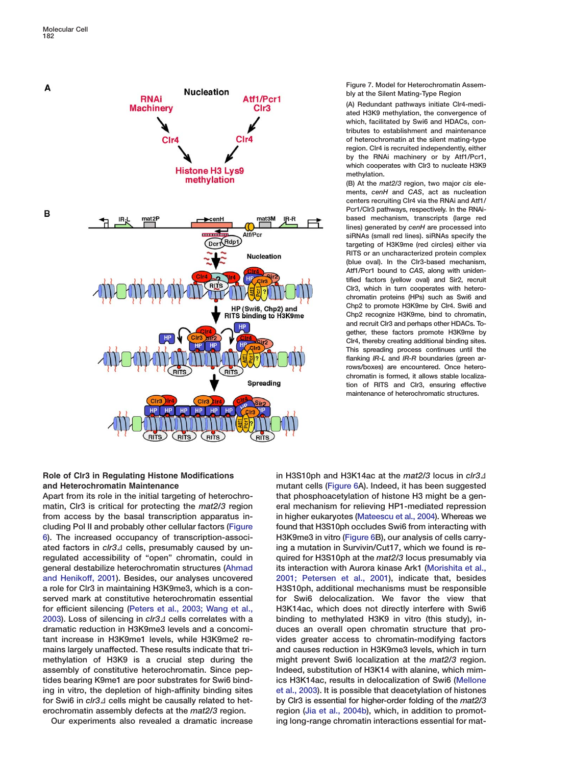<span id="page-9-0"></span>

#### **Figure 7. Model for Heterochromatin Assembly at the Silent Mating-Type Region**

**(A) Redundant pathways initiate Clr4-mediated H3K9 methylation, the convergence of which, facilitated by Swi6 and HDACs, contributes to establishment and maintenance of heterochromatin at the silent mating-type region. Clr4 is recruited independently, either by the RNAi machinery or by Atf1/Pcr1, which cooperates with Clr3 to nucleate H3K9 methylation.**

**(B) At the** *mat2/3* **region, two major** *cis* **elements,** *cenH* **and** *CAS***, act as nucleation centers recruiting Clr4 via the RNAi and Atf1/ Pcr1/Clr3 pathways, respectively. In the RNAibased mechanism, transcripts (large red lines) generated by** *cenH* **are processed into siRNAs (small red lines). siRNAs specify the targeting of H3K9me (red circles) either via RITS or an uncharacterized protein complex (blue oval). In the Clr3-based mechanism, Atf1/Pcr1 bound to** *CAS***, along with unidentified factors (yellow oval) and Sir2, recruit Clr3, which in turn cooperates with heterochromatin proteins (HPs) such as Swi6 and Chp2 to promote H3K9me by Clr4. Swi6 and Chp2 recognize H3K9me, bind to chromatin, and recruit Clr3 and perhaps other HDACs. Together, these factors promote H3K9me by Clr4, thereby creating additional binding sites. This spreading process continues until the flanking** *IR-L* **and** *IR-R* **boundaries (green arrows/boxes) are encountered. Once heterochromatin is formed, it allows stable localization of RITS and Clr3, ensuring effective maintenance of heterochromatic structures.**

## **Role of Clr3 in Regulating Histone Modifications and Heterochromatin Maintenance**

**Apart from its role in the initial targeting of heterochromatin, Clr3 is critical for protecting the** *mat2/3* **region from access by the basal transcription apparatus including Pol II and probably other cellular factors [\(Figure](#page-7-0) [6\)](#page-7-0). The increased occupancy of transcription-associ**ated factors in *clr3*<sup>1</sup> cells, presumably caused by un**regulated accessibility of "open" chromatin, could in general destabilize heterochromatin structures [\(Ahmad](#page-11-0) [and Henikoff, 2001\)](#page-11-0). Besides, our analyses uncovered a role for Clr3 in maintaining H3K9me3, which is a conserved mark at constitutive heterochromatin essential for efficient silencing [\(Peters et al., 2003; Wang et al.,](#page-12-0) [2003\)](#page-12-0).** Loss of silencing in *clr3∆* cells correlates with a **dramatic reduction in H3K9me3 levels and a concomitant increase in H3K9me1 levels, while H3K9me2 remains largely unaffected. These results indicate that trimethylation of H3K9 is a crucial step during the assembly of constitutive heterochromatin. Since peptides bearing K9me1 are poor substrates for Swi6 binding in vitro, the depletion of high-affinity binding sites** for Swi6 in *clr3*<sup> $\Delta$ </sup> cells might be causally related to het**erochromatin assembly defects at the** *mat2/3* **region.**

**Our experiments also revealed a dramatic increase**

in H3S10ph and H3K14ac at the *mat2/3* locus in *clr3*<sup>1</sup> **mutant cells [\(Figure 6A](#page-7-0)). Indeed, it has been suggested that phosphoacetylation of histone H3 might be a general mechanism for relieving HP1-mediated repression in higher eukaryotes [\(Mateescu et al., 2004\)](#page-11-0). Whereas we found that H3S10ph occludes Swi6 from interacting with H3K9me3 in vitro [\(Figure 6B](#page-7-0)), our analysis of cells carrying a mutation in Survivin/Cut17, which we found is required for H3S10ph at the** *mat2/3* **locus presumably via its interaction with Aurora kinase Ark1 [\(Morishita et al.,](#page-11-0) [2001; Petersen et al., 2001\)](#page-11-0), indicate that, besides H3S10ph, additional mechanisms must be responsible for Swi6 delocalization. We favor the view that H3K14ac, which does not directly interfere with Swi6 binding to methylated H3K9 in vitro (this study), induces an overall open chromatin structure that provides greater access to chromatin-modifying factors and causes reduction in H3K9me3 levels, which in turn might prevent Swi6 localization at the** *mat2/3* **region. Indeed, substitution of H3K14 with alanine, which mimics H3K14ac, results in delocalization of Swi6 [\(Mellone](#page-11-0) [et al., 2003\)](#page-11-0). It is possible that deacetylation of histones by Clr3 is essential for higher-order folding of the** *mat2/3* **region [\(Jia et al., 2004b](#page-11-0)), which, in addition to promoting long-range chromatin interactions essential for mat-**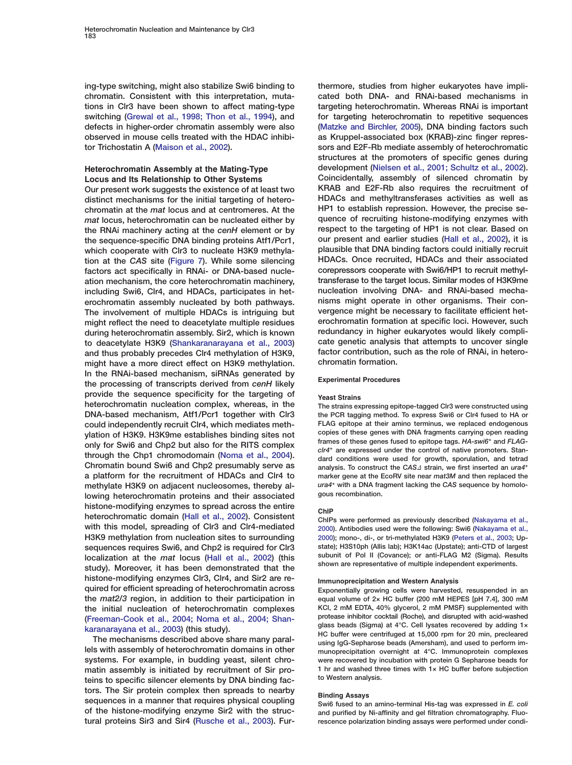**ing-type switching, might also stabilize Swi6 binding to chromatin. Consistent with this interpretation, mutations in Clr3 have been shown to affect mating-type switching [\(Grewal et al., 1998; Thon et al., 1994\)](#page-11-0), and defects in higher-order chromatin assembly were also observed in mouse cells treated with the HDAC inhibitor Trichostatin A [\(Maison et al., 2002\)](#page-11-0).**

## **Heterochromatin Assembly at the Mating-Type Locus and Its Relationship to Other Systems**

**Our present work suggests the existence of at least two distinct mechanisms for the initial targeting of heterochromatin at the** *mat* **locus and at centromeres. At the** *mat* **locus, heterochromatin can be nucleated either by the RNAi machinery acting at the** *cenH* **element or by the sequence-specific DNA binding proteins Atf1/Pcr1, which cooperate with Clr3 to nucleate H3K9 methylation at the** *CAS* **site [\(Figure 7\)](#page-9-0). While some silencing factors act specifically in RNAi- or DNA-based nucleation mechanism, the core heterochromatin machinery, including Swi6, Clr4, and HDACs, participates in heterochromatin assembly nucleated by both pathways. The involvement of multiple HDACs is intriguing but might reflect the need to deacetylate multiple residues during heterochromatin assembly. Sir2, which is known to deacetylate H3K9 [\(Shankaranarayana et al., 2003](#page-12-0)) and thus probably precedes Clr4 methylation of H3K9, might have a more direct effect on H3K9 methylation. In the RNAi-based mechanism, siRNAs generated by the processing of transcripts derived from** *cenH* **likely provide the sequence specificity for the targeting of heterochromatin nucleation complex, whereas, in the DNA-based mechanism, Atf1/Pcr1 together with Clr3 could independently recruit Clr4, which mediates methylation of H3K9. H3K9me establishes binding sites not only for Swi6 and Chp2 but also for the RITS complex through the Chp1 chromodomain [\(Noma et al., 2004\)](#page-11-0). Chromatin bound Swi6 and Chp2 presumably serve as a platform for the recruitment of HDACs and Clr4 to methylate H3K9 on adjacent nucleosomes, thereby allowing heterochromatin proteins and their associated histone-modifying enzymes to spread across the entire heterochromatic domain [\(Hall et al., 2002\)](#page-11-0). Consistent with this model, spreading of Clr3 and Clr4-mediated H3K9 methylation from nucleation sites to surrounding sequences requires Swi6, and Chp2 is required for Clr3 localization at the** *mat* **locus [\(Hall et al., 2002\)](#page-11-0) (this study). Moreover, it has been demonstrated that the histone-modifying enzymes Clr3, Clr4, and Sir2 are required for efficient spreading of heterochromatin across the** *mat2/3* **region, in addition to their participation in the initial nucleation of heterochromatin complexes [\(Freeman-Cook et al., 2004; Noma et al., 2004; Shan](#page-11-0)[karanarayana et al., 2003](#page-11-0)) (this study).**

**The mechanisms described above share many parallels with assembly of heterochromatin domains in other systems. For example, in budding yeast, silent chromatin assembly is initiated by recruitment of Sir proteins to specific silencer elements by DNA binding factors. The Sir protein complex then spreads to nearby sequences in a manner that requires physical coupling of the histone-modifying enzyme Sir2 with the structural proteins Sir3 and Sir4 [\(Rusche et al., 2003\)](#page-12-0). Fur-** **thermore, studies from higher eukaryotes have implicated both DNA- and RNAi-based mechanisms in targeting heterochromatin. Whereas RNAi is important for targeting heterochromatin to repetitive sequences [\(Matzke and Birchler, 2005\)](#page-11-0), DNA binding factors such as Kruppel-associated box (KRAB)-zinc finger repressors and E2F-Rb mediate assembly of heterochromatic structures at the promoters of specific genes during development [\(Nielsen et al., 2001; Schultz et al., 2002\)](#page-11-0). Coincidentally, assembly of silenced chromatin by KRAB and E2F-Rb also requires the recruitment of HDACs and methyltransferases activities as well as HP1 to establish repression. However, the precise sequence of recruiting histone-modifying enzymes with respect to the targeting of HP1 is not clear. Based on our present and earlier studies [\(Hall et al., 2002](#page-11-0)), it is plausible that DNA binding factors could initially recruit HDACs. Once recruited, HDACs and their associated corepressors cooperate with Swi6/HP1 to recruit methyltransferase to the target locus. Similar modes of H3K9me nucleation involving DNA- and RNAi-based mechanisms might operate in other organisms. Their convergence might be necessary to facilitate efficient heterochromatin formation at specific loci. However, such redundancy in higher eukaryotes would likely complicate genetic analysis that attempts to uncover single factor contribution, such as the role of RNAi, in heterochromatin formation.**

#### **Experimental Procedures**

#### **Yeast Strains**

**The strains expressing epitope-tagged Clr3 were constructed using the PCR tagging method. To express Swi6 or Clr4 fused to HA or FLAG epitope at their amino terminus, we replaced endogenous copies of these genes with DNA fragments carrying open reading frames of these genes fused to epitope tags.** *HA-swi6+* **and** *FLAGclr4+* **are expressed under the control of native promoters. Standard conditions were used for growth, sporulation, and tetrad** analysis. To construct the CAS∆ strain, we first inserted an *ura4<sup>+</sup>* **marker gene at the EcoRV site near** *mat3M* **and then replaced the** *ura4+* **with a DNA fragment lacking the** *CAS* **sequence by homologous recombination.**

#### **ChIP**

**ChIPs were performed as previously described [\(Nakayama et al.,](#page-11-0) [2000\)](#page-11-0). Antibodies used were the following: Swi6 [\(Nakayama et al.,](#page-11-0) [2000\)](#page-11-0); mono-, di-, or tri-methylated H3K9 [\(Peters et al., 2003;](#page-12-0) Upstate); H3S10ph (Allis lab); H3K14ac (Upstate); anti-CTD of largest subunit of Pol II (Covance); or anti-FLAG M2 (Sigma). Results shown are representative of multiple independent experiments.**

#### **Immunoprecipitation and Western Analysis**

**Exponentially growing cells were harvested, resuspended in an equal volume of 2× HC buffer (200 mM HEPES [pH 7.4], 300 mM KCl, 2 mM EDTA, 40% glycerol, 2 mM PMSF) supplemented with protease inhibitor cocktail (Roche), and disrupted with acid-washed glass beads (Sigma) at 4°C. Cell lysates recovered by adding 1× HC buffer were centrifuged at 15,000 rpm for 20 min, precleared using IgG-Sepharose beads (Amersham), and used to perform immunoprecipitation overnight at 4°C. Immunoprotein complexes were recovered by incubation with protein G Sepharose beads for 1 hr and washed three times with 1× HC buffer before subjection to Western analysis.**

#### **Binding Assays**

**Swi6 fused to an amino-terminal His-tag was expressed in** *E. coli* **and purified by Ni-affinity and gel filtration chromatography. Fluorescence polarization binding assays were performed under condi-**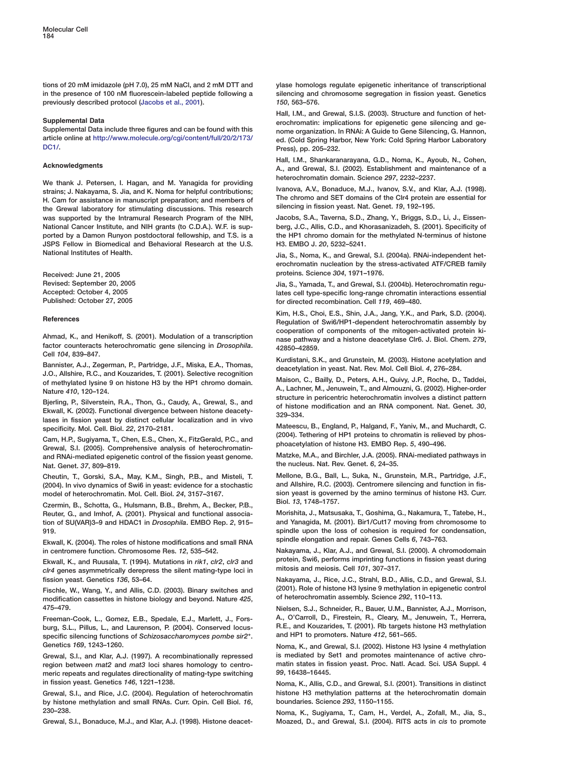<span id="page-11-0"></span>**tions of 20 mM imidazole (pH 7.0), 25 mM NaCl, and 2 mM DTT and in the presence of 100 nM fluorescein-labeled peptide following a previously described protocol (Jacobs et al., 2001).**

#### **Supplemental Data**

**Supplemental Data include three figures and can be found with this article online at [http://www.molecule.org/cgi/content/full/20/2/173/](http://www.molecule.org/cgi/content/full/20/2/173/DC1/) [DC1/.](http://www.molecule.org/cgi/content/full/20/2/173/DC1/)**

#### **Acknowledgments**

**We thank J. Petersen, I. Hagan, and M. Yanagida for providing strains; J. Nakayama, S. Jia, and K. Noma for helpful contributions; H. Cam for assistance in manuscript preparation; and members of the Grewal laboratory for stimulating discussions. This research was supported by the Intramural Research Program of the NIH, National Cancer Institute, and NIH grants (to C.D.A.). W.F. is supported by a Damon Runyon postdoctoral fellowship, and T.S. is a JSPS Fellow in Biomedical and Behavioral Research at the U.S. National Institutes of Health.**

**Received: June 21, 2005 Revised: September 20, 2005 Accepted: October 4, 2005 Published: October 27, 2005**

#### **References**

**Ahmad, K., and Henikoff, S. (2001). Modulation of a transcription factor counteracts heterochromatic gene silencing in** *Drosophila***. Cell** *104***, 839–847.**

**Bannister, A.J., Zegerman, P., Partridge, J.F., Miska, E.A., Thomas, J.O., Allshire, R.C., and Kouzarides, T. (2001). Selective recognition of methylated lysine 9 on histone H3 by the HP1 chromo domain. Nature** *410***, 120–124.**

**Bjerling, P., Silverstein, R.A., Thon, G., Caudy, A., Grewal, S., and Ekwall, K. (2002). Functional divergence between histone deacetylases in fission yeast by distinct cellular localization and in vivo specificity. Mol. Cell. Biol.** *22***, 2170–2181.**

**Cam, H.P., Sugiyama, T., Chen, E.S., Chen, X., FitzGerald, P.C., and Grewal, S.I. (2005). Comprehensive analysis of heterochromatinand RNAi-mediated epigenetic control of the fission yeast genome. Nat. Genet.** *37***, 809–819.**

**Cheutin, T., Gorski, S.A., May, K.M., Singh, P.B., and Misteli, T. (2004). In vivo dynamics of Swi6 in yeast: evidence for a stochastic model of heterochromatin. Mol. Cell. Biol.** *24***, 3157–3167.**

**Czermin, B., Schotta, G., Hulsmann, B.B., Brehm, A., Becker, P.B., Reuter, G., and Imhof, A. (2001). Physical and functional association of SU(VAR)3–9 and HDAC1 in** *Drosophila***. EMBO Rep.** *2***, 915– 919.**

**Ekwall, K. (2004). The roles of histone modifications and small RNA in centromere function. Chromosome Res.** *12***, 535–542.**

**Ekwall, K., and Ruusala, T. (1994). Mutations in** *rik1***,** *clr2***,** *clr3* **and** *clr4* **genes asymmetrically derepress the silent mating-type loci in fission yeast. Genetics** *136***, 53–64.**

**Fischle, W., Wang, Y., and Allis, C.D. (2003). Binary switches and modification cassettes in histone biology and beyond. Nature** *425***, 475–479.**

**Freeman-Cook, L., Gomez, E.B., Spedale, E.J., Marlett, J., Forsburg, S.L., Pillus, L., and Laurenson, P. (2004). Conserved locusspecific silencing functions of** *Schizosaccharomyces pombe sir2***+. Genetics** *169***, 1243–1260.**

**Grewal, S.I., and Klar, A.J. (1997). A recombinationally repressed region between** *mat2* **and** *mat3* **loci shares homology to centromeric repeats and regulates directionality of mating-type switching in fission yeast. Genetics** *146***, 1221–1238.**

**Grewal, S.I., and Rice, J.C. (2004). Regulation of heterochromatin by histone methylation and small RNAs. Curr. Opin. Cell Biol.** *16***, 230–238.**

**Grewal, S.I., Bonaduce, M.J., and Klar, A.J. (1998). Histone deacet-**

**ylase homologs regulate epigenetic inheritance of transcriptional silencing and chromosome segregation in fission yeast. Genetics** *150***, 563–576.**

**Hall, I.M., and Grewal, S.I.S. (2003). Structure and function of heterochromatin: implications for epigenetic gene silencing and genome organization. In RNAi: A Guide to Gene Silencing, G. Hannon, ed. (Cold Spring Harbor, New York: Cold Spring Harbor Laboratory Press), pp. 205–232.**

**Hall, I.M., Shankaranarayana, G.D., Noma, K., Ayoub, N., Cohen, A., and Grewal, S.I. (2002). Establishment and maintenance of a heterochromatin domain. Science** *297***, 2232–2237.**

**Ivanova, A.V., Bonaduce, M.J., Ivanov, S.V., and Klar, A.J. (1998). The chromo and SET domains of the Clr4 protein are essential for silencing in fission yeast. Nat. Genet.** *19***, 192–195.**

**Jacobs, S.A., Taverna, S.D., Zhang, Y., Briggs, S.D., Li, J., Eissenberg, J.C., Allis, C.D., and Khorasanizadeh, S. (2001). Specificity of the HP1 chromo domain for the methylated N-terminus of histone H3. EMBO J.** *20***, 5232–5241.**

**Jia, S., Noma, K., and Grewal, S.I. (2004a). RNAi-independent heterochromatin nucleation by the stress-activated ATF/CREB family proteins. Science** *304***, 1971–1976.**

**Jia, S., Yamada, T., and Grewal, S.I. (2004b). Heterochromatin regulates cell type-specific long-range chromatin interactions essential for directed recombination. Cell** *119***, 469–480.**

**Kim, H.S., Choi, E.S., Shin, J.A., Jang, Y.K., and Park, S.D. (2004). Regulation of Swi6/HP1-dependent heterochromatin assembly by cooperation of components of the mitogen-activated protein kinase pathway and a histone deacetylase Clr6. J. Biol. Chem.** *279***, 42850–42859.**

**Kurdistani, S.K., and Grunstein, M. (2003). Histone acetylation and deacetylation in yeast. Nat. Rev. Mol. Cell Biol.** *4***, 276–284.**

**Maison, C., Bailly, D., Peters, A.H., Quivy, J.P., Roche, D., Taddei, A., Lachner, M., Jenuwein, T., and Almouzni, G. (2002). Higher-order structure in pericentric heterochromatin involves a distinct pattern of histone modification and an RNA component. Nat. Genet.** *30***, 329–334.**

**Mateescu, B., England, P., Halgand, F., Yaniv, M., and Muchardt, C. (2004). Tethering of HP1 proteins to chromatin is relieved by phosphoacetylation of histone H3. EMBO Rep.** *5***, 490–496.**

**Matzke, M.A., and Birchler, J.A. (2005). RNAi-mediated pathways in the nucleus. Nat. Rev. Genet.** *6***, 24–35.**

**Mellone, B.G., Ball, L., Suka, N., Grunstein, M.R., Partridge, J.F., and Allshire, R.C. (2003). Centromere silencing and function in fission yeast is governed by the amino terminus of histone H3. Curr. Biol.** *13***, 1748–1757.**

**Morishita, J., Matsusaka, T., Goshima, G., Nakamura, T., Tatebe, H., and Yanagida, M. (2001). Bir1/Cut17 moving from chromosome to spindle upon the loss of cohesion is required for condensation, spindle elongation and repair. Genes Cells** *6***, 743–763.**

**Nakayama, J., Klar, A.J., and Grewal, S.I. (2000). A chromodomain protein, Swi6, performs imprinting functions in fission yeast during mitosis and meiosis. Cell** *101***, 307–317.**

**Nakayama, J., Rice, J.C., Strahl, B.D., Allis, C.D., and Grewal, S.I. (2001). Role of histone H3 lysine 9 methylation in epigenetic control of heterochromatin assembly. Science** *292***, 110–113.**

**Nielsen, S.J., Schneider, R., Bauer, U.M., Bannister, A.J., Morrison, A., O'Carroll, D., Firestein, R., Cleary, M., Jenuwein, T., Herrera, R.E., and Kouzarides, T. (2001). Rb targets histone H3 methylation and HP1 to promoters. Nature** *412***, 561–565.**

**Noma, K., and Grewal, S.I. (2002). Histone H3 lysine 4 methylation is mediated by Set1 and promotes maintenance of active chromatin states in fission yeast. Proc. Natl. Acad. Sci. USA Suppl. 4** *99***, 16438–16445.**

**Noma, K., Allis, C.D., and Grewal, S.I. (2001). Transitions in distinct histone H3 methylation patterns at the heterochromatin domain boundaries. Science** *293***, 1150–1155.**

**Noma, K., Sugiyama, T., Cam, H., Verdel, A., Zofall, M., Jia, S., Moazed, D., and Grewal, S.I. (2004). RITS acts in** *cis* **to promote**